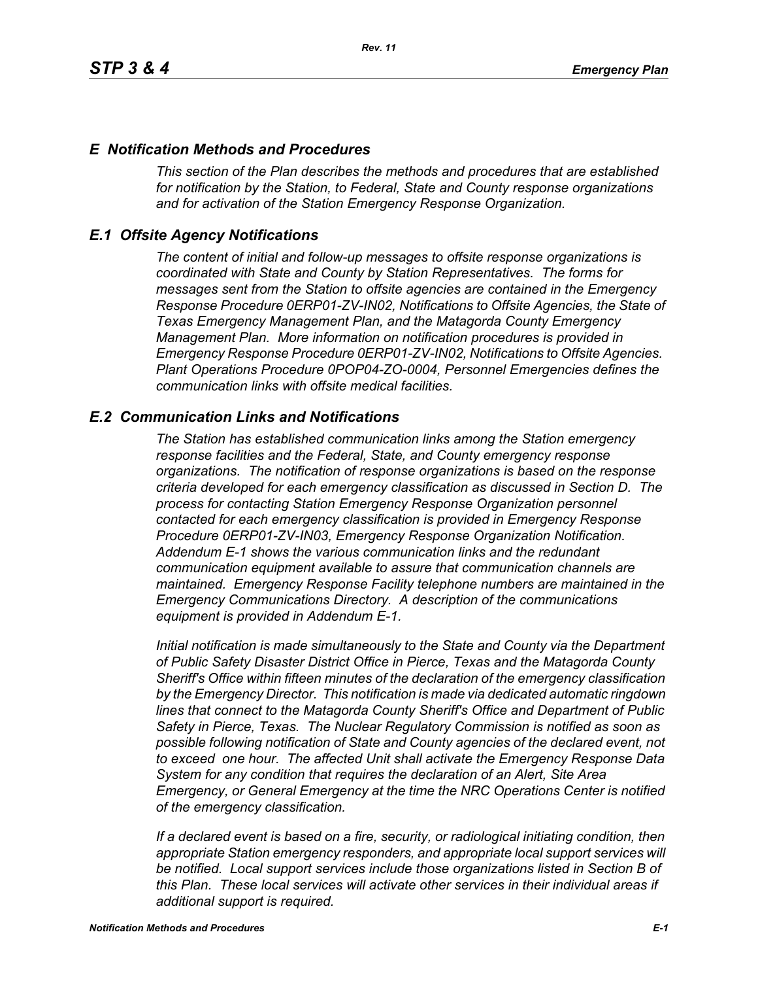## *E Notification Methods and Procedures*

*This section of the Plan describes the methods and procedures that are established for notification by the Station, to Federal, State and County response organizations and for activation of the Station Emergency Response Organization.*

## *E.1 Offsite Agency Notifications*

*The content of initial and follow-up messages to offsite response organizations is coordinated with State and County by Station Representatives. The forms for messages sent from the Station to offsite agencies are contained in the Emergency Response Procedure 0ERP01-ZV-IN02, Notifications to Offsite Agencies, the State of Texas Emergency Management Plan, and the Matagorda County Emergency Management Plan. More information on notification procedures is provided in Emergency Response Procedure 0ERP01-ZV-IN02, Notifications to Offsite Agencies. Plant Operations Procedure 0POP04-ZO-0004, Personnel Emergencies defines the communication links with offsite medical facilities.*

## *E.2 Communication Links and Notifications*

*The Station has established communication links among the Station emergency response facilities and the Federal, State, and County emergency response organizations. The notification of response organizations is based on the response criteria developed for each emergency classification as discussed in Section D. The process for contacting Station Emergency Response Organization personnel contacted for each emergency classification is provided in Emergency Response Procedure 0ERP01-ZV-IN03, Emergency Response Organization Notification. Addendum E-1 shows the various communication links and the redundant communication equipment available to assure that communication channels are maintained. Emergency Response Facility telephone numbers are maintained in the Emergency Communications Directory. A description of the communications equipment is provided in Addendum E-1.*

*Initial notification is made simultaneously to the State and County via the Department of Public Safety Disaster District Office in Pierce, Texas and the Matagorda County Sheriff's Office within fifteen minutes of the declaration of the emergency classification by the Emergency Director. This notification is made via dedicated automatic ringdown lines that connect to the Matagorda County Sheriff's Office and Department of Public Safety in Pierce, Texas. The Nuclear Regulatory Commission is notified as soon as possible following notification of State and County agencies of the declared event, not to exceed one hour. The affected Unit shall activate the Emergency Response Data System for any condition that requires the declaration of an Alert, Site Area Emergency, or General Emergency at the time the NRC Operations Center is notified of the emergency classification.*

*If a declared event is based on a fire, security, or radiological initiating condition, then appropriate Station emergency responders, and appropriate local support services will be notified. Local support services include those organizations listed in Section B of this Plan. These local services will activate other services in their individual areas if additional support is required.*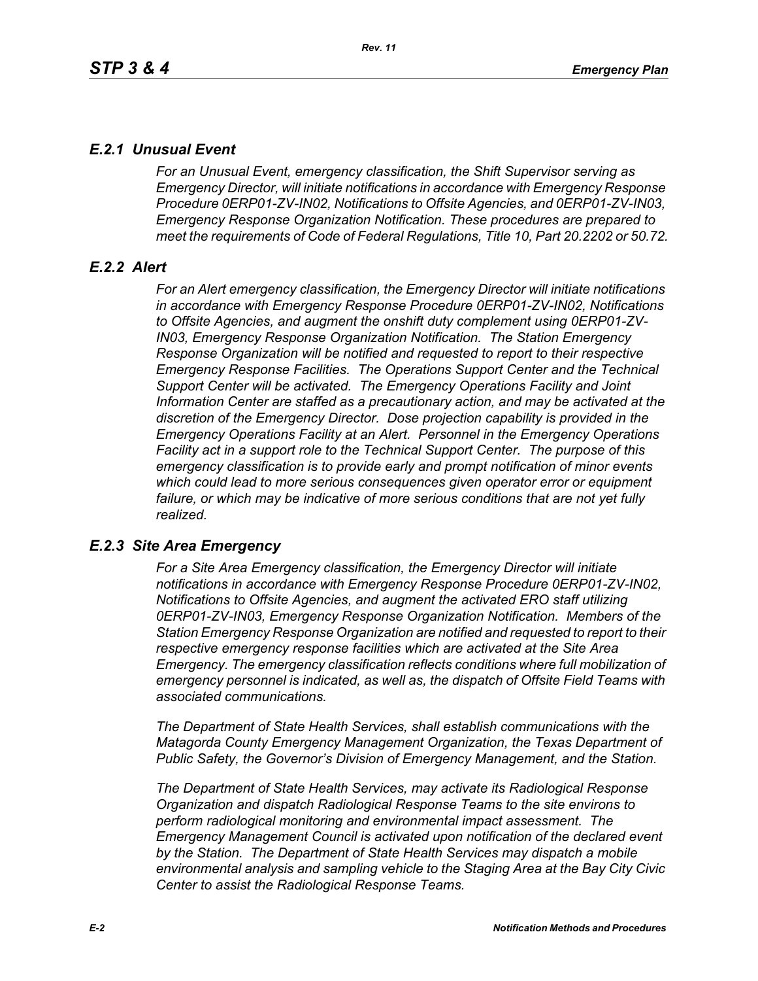# *E.2.1 Unusual Event*

*For an Unusual Event, emergency classification, the Shift Supervisor serving as Emergency Director, will initiate notifications in accordance with Emergency Response Procedure 0ERP01-ZV-IN02, Notifications to Offsite Agencies, and 0ERP01-ZV-IN03, Emergency Response Organization Notification. These procedures are prepared to meet the requirements of Code of Federal Regulations, Title 10, Part 20.2202 or 50.72.*

# *E.2.2 Alert*

*For an Alert emergency classification, the Emergency Director will initiate notifications in accordance with Emergency Response Procedure 0ERP01-ZV-IN02, Notifications to Offsite Agencies, and augment the onshift duty complement using 0ERP01-ZV-IN03, Emergency Response Organization Notification. The Station Emergency Response Organization will be notified and requested to report to their respective Emergency Response Facilities. The Operations Support Center and the Technical Support Center will be activated. The Emergency Operations Facility and Joint Information Center are staffed as a precautionary action, and may be activated at the discretion of the Emergency Director. Dose projection capability is provided in the Emergency Operations Facility at an Alert. Personnel in the Emergency Operations Facility act in a support role to the Technical Support Center. The purpose of this emergency classification is to provide early and prompt notification of minor events which could lead to more serious consequences given operator error or equipment*  failure, or which may be indicative of more serious conditions that are not yet fully *realized.*

# *E.2.3 Site Area Emergency*

*For a Site Area Emergency classification, the Emergency Director will initiate notifications in accordance with Emergency Response Procedure 0ERP01-ZV-IN02, Notifications to Offsite Agencies, and augment the activated ERO staff utilizing 0ERP01-ZV-IN03, Emergency Response Organization Notification. Members of the Station Emergency Response Organization are notified and requested to report to their respective emergency response facilities which are activated at the Site Area Emergency. The emergency classification reflects conditions where full mobilization of emergency personnel is indicated, as well as, the dispatch of Offsite Field Teams with associated communications.*

*The Department of State Health Services, shall establish communications with the Matagorda County Emergency Management Organization, the Texas Department of Public Safety, the Governor's Division of Emergency Management, and the Station.* 

*The Department of State Health Services, may activate its Radiological Response Organization and dispatch Radiological Response Teams to the site environs to perform radiological monitoring and environmental impact assessment. The Emergency Management Council is activated upon notification of the declared event by the Station. The Department of State Health Services may dispatch a mobile environmental analysis and sampling vehicle to the Staging Area at the Bay City Civic Center to assist the Radiological Response Teams.*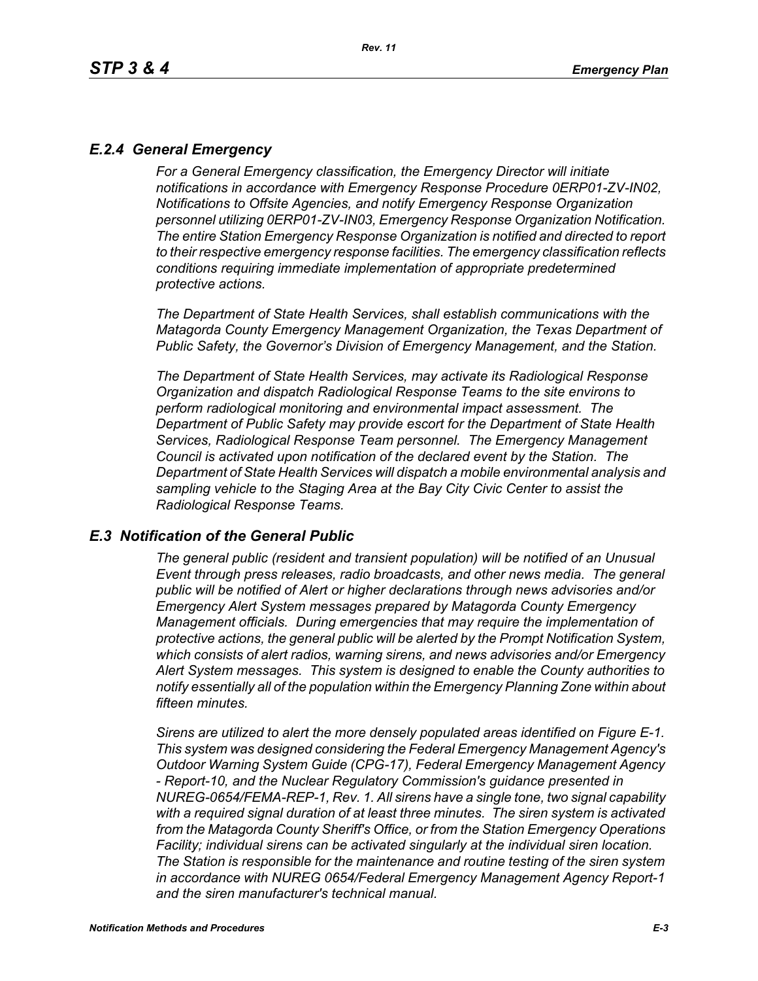# *E.2.4 General Emergency*

*For a General Emergency classification, the Emergency Director will initiate notifications in accordance with Emergency Response Procedure 0ERP01-ZV-IN02, Notifications to Offsite Agencies, and notify Emergency Response Organization personnel utilizing 0ERP01-ZV-IN03, Emergency Response Organization Notification. The entire Station Emergency Response Organization is notified and directed to report to their respective emergency response facilities. The emergency classification reflects conditions requiring immediate implementation of appropriate predetermined protective actions.*

*The Department of State Health Services, shall establish communications with the Matagorda County Emergency Management Organization, the Texas Department of Public Safety, the Governor's Division of Emergency Management, and the Station.*

*The Department of State Health Services, may activate its Radiological Response Organization and dispatch Radiological Response Teams to the site environs to perform radiological monitoring and environmental impact assessment. The Department of Public Safety may provide escort for the Department of State Health Services, Radiological Response Team personnel. The Emergency Management Council is activated upon notification of the declared event by the Station. The Department of State Health Services will dispatch a mobile environmental analysis and sampling vehicle to the Staging Area at the Bay City Civic Center to assist the Radiological Response Teams.*

## *E.3 Notification of the General Public*

*The general public (resident and transient population) will be notified of an Unusual Event through press releases, radio broadcasts, and other news media. The general public will be notified of Alert or higher declarations through news advisories and/or Emergency Alert System messages prepared by Matagorda County Emergency Management officials. During emergencies that may require the implementation of protective actions, the general public will be alerted by the Prompt Notification System, which consists of alert radios, warning sirens, and news advisories and/or Emergency Alert System messages. This system is designed to enable the County authorities to notify essentially all of the population within the Emergency Planning Zone within about fifteen minutes.* 

*Sirens are utilized to alert the more densely populated areas identified on Figure E-1. This system was designed considering the Federal Emergency Management Agency's Outdoor Warning System Guide (CPG-17), Federal Emergency Management Agency - Report-10, and the Nuclear Regulatory Commission's guidance presented in NUREG-0654/FEMA-REP-1, Rev. 1. All sirens have a single tone, two signal capability with a required signal duration of at least three minutes. The siren system is activated from the Matagorda County Sheriff's Office, or from the Station Emergency Operations Facility; individual sirens can be activated singularly at the individual siren location. The Station is responsible for the maintenance and routine testing of the siren system in accordance with NUREG 0654/Federal Emergency Management Agency Report-1 and the siren manufacturer's technical manual.*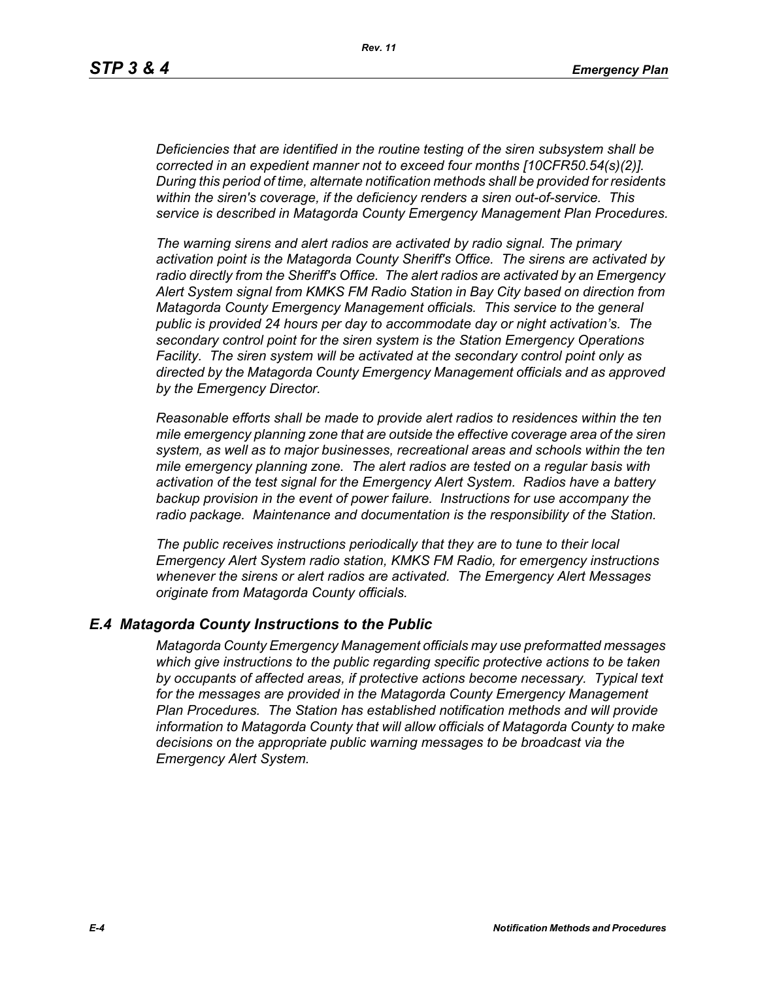*Deficiencies that are identified in the routine testing of the siren subsystem shall be corrected in an expedient manner not to exceed four months [10CFR50.54(s)(2)]. During this period of time, alternate notification methods shall be provided for residents within the siren's coverage, if the deficiency renders a siren out-of-service. This service is described in Matagorda County Emergency Management Plan Procedures.*

*The warning sirens and alert radios are activated by radio signal. The primary activation point is the Matagorda County Sheriff's Office. The sirens are activated by radio directly from the Sheriff's Office. The alert radios are activated by an Emergency Alert System signal from KMKS FM Radio Station in Bay City based on direction from Matagorda County Emergency Management officials. This service to the general public is provided 24 hours per day to accommodate day or night activation's. The secondary control point for the siren system is the Station Emergency Operations Facility. The siren system will be activated at the secondary control point only as directed by the Matagorda County Emergency Management officials and as approved by the Emergency Director.* 

*Reasonable efforts shall be made to provide alert radios to residences within the ten mile emergency planning zone that are outside the effective coverage area of the siren system, as well as to major businesses, recreational areas and schools within the ten mile emergency planning zone. The alert radios are tested on a regular basis with activation of the test signal for the Emergency Alert System. Radios have a battery backup provision in the event of power failure. Instructions for use accompany the radio package. Maintenance and documentation is the responsibility of the Station.* 

*The public receives instructions periodically that they are to tune to their local Emergency Alert System radio station, KMKS FM Radio, for emergency instructions whenever the sirens or alert radios are activated. The Emergency Alert Messages originate from Matagorda County officials.* 

## *E.4 Matagorda County Instructions to the Public*

*Matagorda County Emergency Management officials may use preformatted messages which give instructions to the public regarding specific protective actions to be taken by occupants of affected areas, if protective actions become necessary. Typical text for the messages are provided in the Matagorda County Emergency Management Plan Procedures. The Station has established notification methods and will provide information to Matagorda County that will allow officials of Matagorda County to make decisions on the appropriate public warning messages to be broadcast via the Emergency Alert System.*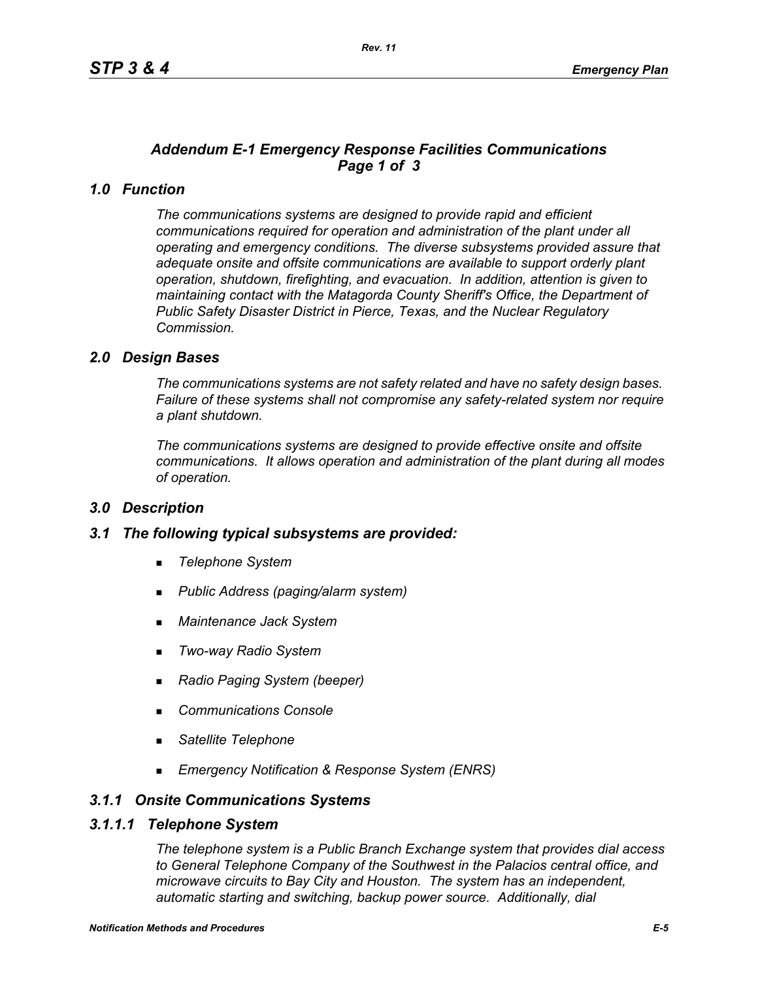# *Addendum E-1 Emergency Response Facilities Communications Page 1 of 3*

# *1.0 Function*

*The communications systems are designed to provide rapid and efficient communications required for operation and administration of the plant under all operating and emergency conditions. The diverse subsystems provided assure that adequate onsite and offsite communications are available to support orderly plant operation, shutdown, firefighting, and evacuation. In addition, attention is given to maintaining contact with the Matagorda County Sheriff's Office, the Department of Public Safety Disaster District in Pierce, Texas, and the Nuclear Regulatory Commission.*

## *2.0 Design Bases*

*The communications systems are not safety related and have no safety design bases. Failure of these systems shall not compromise any safety-related system nor require a plant shutdown.*

*The communications systems are designed to provide effective onsite and offsite communications. It allows operation and administration of the plant during all modes of operation.*

## *3.0 Description*

## *3.1 The following typical subsystems are provided:*

- *Telephone System*
- *Public Address (paging/alarm system)*
- *Maintenance Jack System*
- *Two-way Radio System*
- *Radio Paging System (beeper)*
- *Communications Console*
- *Satellite Telephone*
- *Emergency Notification & Response System (ENRS)*

## *3.1.1 Onsite Communications Systems*

#### *3.1.1.1 Telephone System*

*The telephone system is a Public Branch Exchange system that provides dial access to General Telephone Company of the Southwest in the Palacios central office, and microwave circuits to Bay City and Houston. The system has an independent, automatic starting and switching, backup power source. Additionally, dial*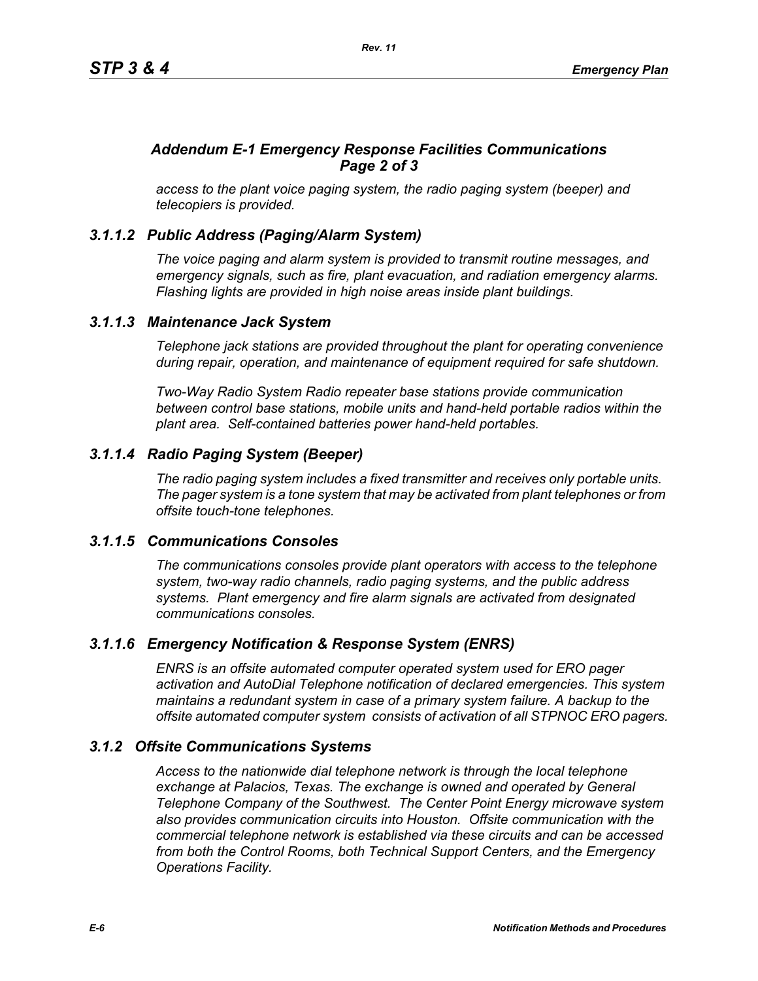# *Addendum E-1 Emergency Response Facilities Communications Page 2 of 3*

*access to the plant voice paging system, the radio paging system (beeper) and telecopiers is provided.*

# *3.1.1.2 Public Address (Paging/Alarm System)*

*The voice paging and alarm system is provided to transmit routine messages, and emergency signals, such as fire, plant evacuation, and radiation emergency alarms. Flashing lights are provided in high noise areas inside plant buildings.*

## *3.1.1.3 Maintenance Jack System*

*Telephone jack stations are provided throughout the plant for operating convenience during repair, operation, and maintenance of equipment required for safe shutdown.* 

*Two-Way Radio System Radio repeater base stations provide communication between control base stations, mobile units and hand-held portable radios within the plant area. Self-contained batteries power hand-held portables.* 

# *3.1.1.4 Radio Paging System (Beeper)*

*The radio paging system includes a fixed transmitter and receives only portable units. The pager system is a tone system that may be activated from plant telephones or from offsite touch-tone telephones.* 

## *3.1.1.5 Communications Consoles*

*The communications consoles provide plant operators with access to the telephone system, two-way radio channels, radio paging systems, and the public address systems. Plant emergency and fire alarm signals are activated from designated communications consoles.*

# *3.1.1.6 Emergency Notification & Response System (ENRS)*

*ENRS is an offsite automated computer operated system used for ERO pager activation and AutoDial Telephone notification of declared emergencies. This system maintains a redundant system in case of a primary system failure. A backup to the offsite automated computer system consists of activation of all STPNOC ERO pagers.*

## *3.1.2 Offsite Communications Systems*

*Access to the nationwide dial telephone network is through the local telephone exchange at Palacios, Texas. The exchange is owned and operated by General Telephone Company of the Southwest. The Center Point Energy microwave system also provides communication circuits into Houston. Offsite communication with the commercial telephone network is established via these circuits and can be accessed from both the Control Rooms, both Technical Support Centers, and the Emergency Operations Facility.*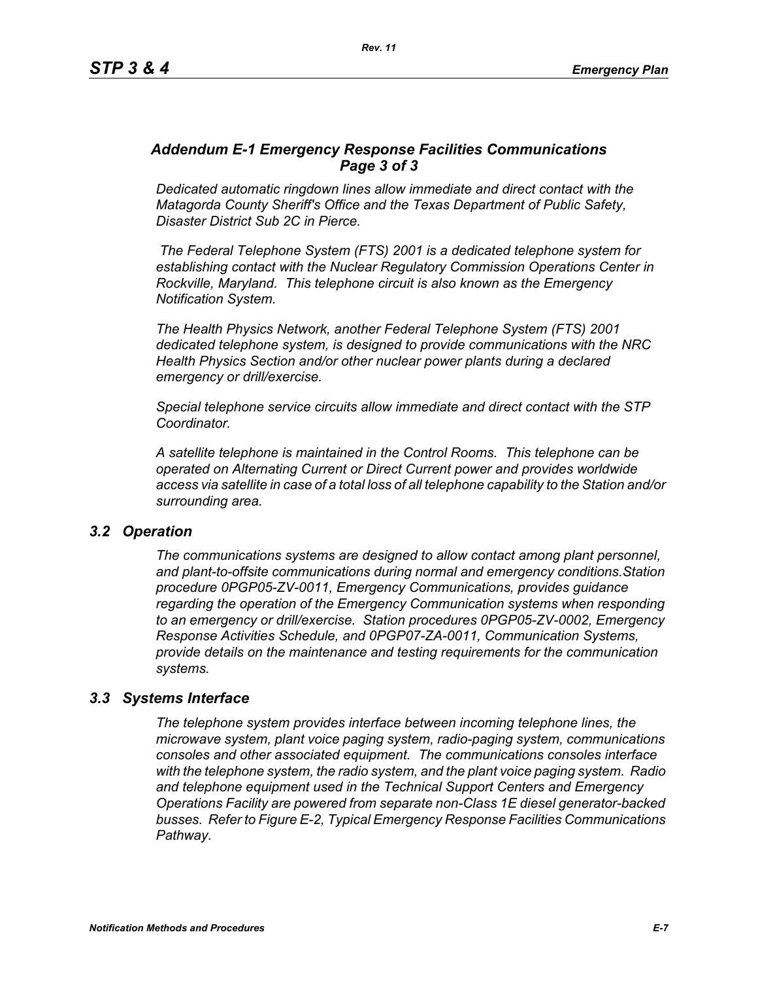# *Addendum E-1 Emergency Response Facilities Communications Page 3 of 3*

*Dedicated automatic ringdown lines allow immediate and direct contact with the Matagorda County Sheriff's Office and the Texas Department of Public Safety, Disaster District Sub 2C in Pierce.*

 *The Federal Telephone System (FTS) 2001 is a dedicated telephone system for establishing contact with the Nuclear Regulatory Commission Operations Center in Rockville, Maryland. This telephone circuit is also known as the Emergency Notification System.*

*The Health Physics Network, another Federal Telephone System (FTS) 2001 dedicated telephone system, is designed to provide communications with the NRC Health Physics Section and/or other nuclear power plants during a declared emergency or drill/exercise.*

*Special telephone service circuits allow immediate and direct contact with the STP Coordinator.*

*A satellite telephone is maintained in the Control Rooms. This telephone can be operated on Alternating Current or Direct Current power and provides worldwide access via satellite in case of a total loss of all telephone capability to the Station and/or surrounding area.*

## *3.2 Operation*

*The communications systems are designed to allow contact among plant personnel, and plant-to-offsite communications during normal and emergency conditions.Station procedure 0PGP05-ZV-0011, Emergency Communications, provides guidance regarding the operation of the Emergency Communication systems when responding to an emergency or drill/exercise. Station procedures 0PGP05-ZV-0002, Emergency Response Activities Schedule, and 0PGP07-ZA-0011, Communication Systems, provide details on the maintenance and testing requirements for the communication systems.*

## *3.3 Systems Interface*

*The telephone system provides interface between incoming telephone lines, the microwave system, plant voice paging system, radio-paging system, communications consoles and other associated equipment. The communications consoles interface with the telephone system, the radio system, and the plant voice paging system. Radio and telephone equipment used in the Technical Support Centers and Emergency Operations Facility are powered from separate non-Class 1E diesel generator-backed busses. Refer to Figure E-2, Typical Emergency Response Facilities Communications Pathway.*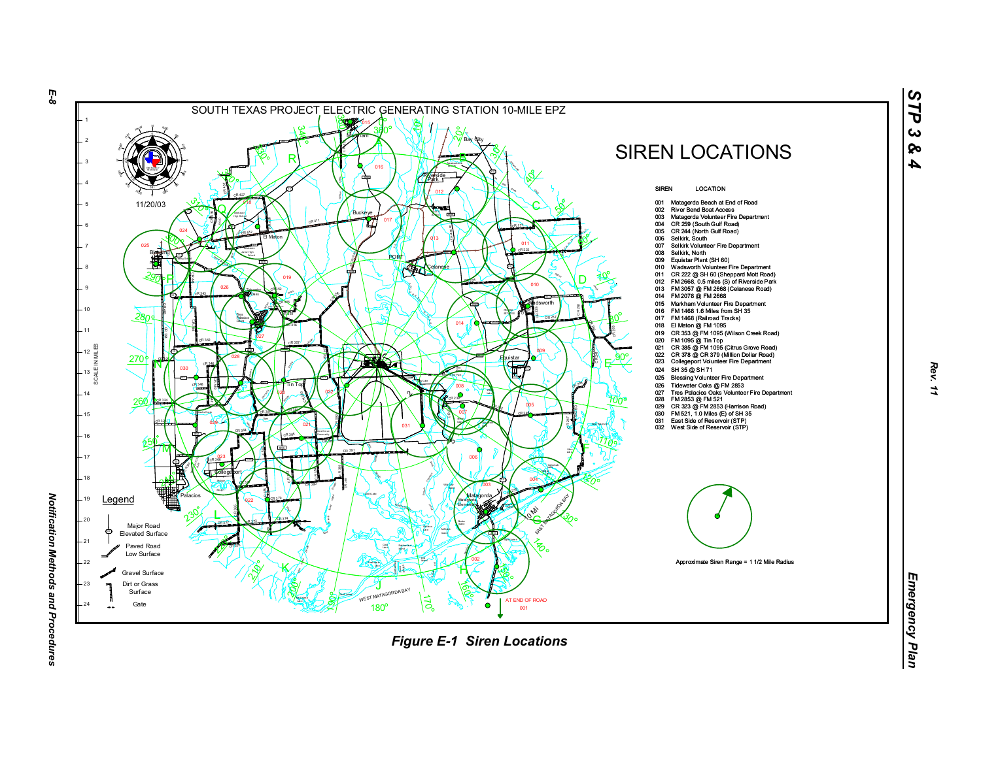

*Notification Methods and Procedures* 

*STP 3 & 4*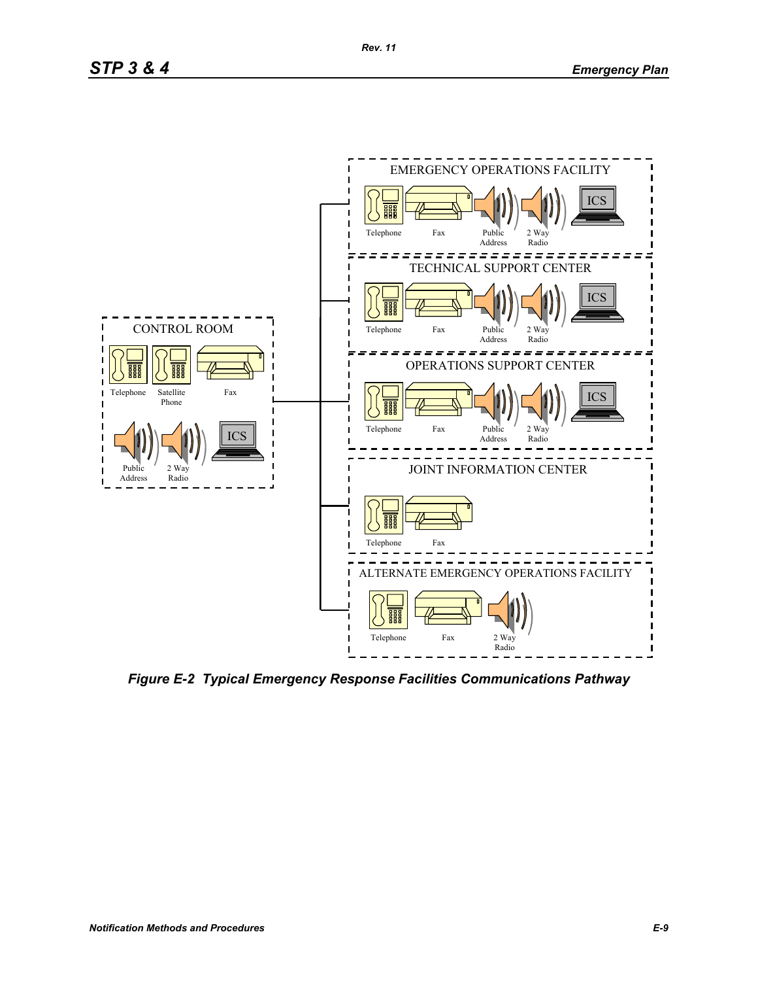

*Figure E-2 Typical Emergency Response Facilities Communications Pathway*